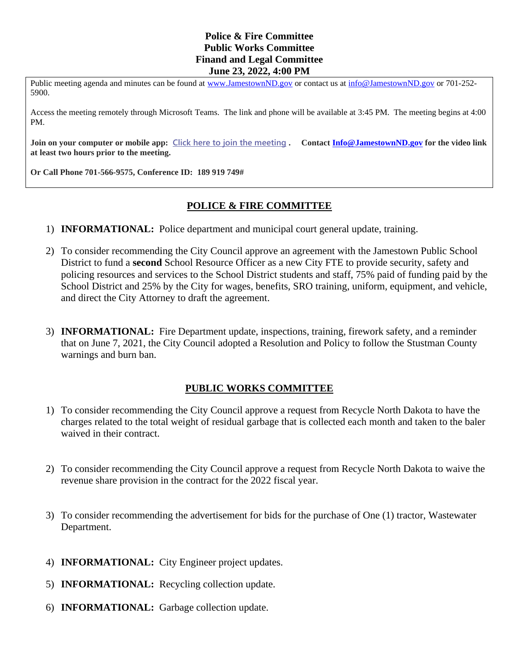## **Police & Fire Committee Public Works Committee Finand and Legal Committee June 23, 2022, 4:00 PM**

Public meeting agenda and minutes can be found at [www.JamestownND.gov](http://www.jamestownnd.gov/) or contact us at [info@JamestownND.gov](mailto:info@JamestownND.gov) or 701-252-5900.

Access the meeting remotely through Microsoft Teams. The link and phone will be available at 3:45 PM. The meeting begins at 4:00 PM.

**Join on your computer or mobile app: [Click here to](https://teams.microsoft.com/l/meetup-join/19%3ameeting_YWNlMmJiNmUtM2U1NC00NDgxLTk5NjAtNzY2NDJlNGVlYzZj%40thread.v2/0?context=%7b%22Tid%22%3a%2227cc2c36-b5cb-4760-950e-1df10ff8f292%22%2c%22Oid%22%3a%22587748aa-51eb-4b49-8268-af444db2a235%22%7d) join the meeting . Contact [Info@JamestownND.gov](mailto:Info@JamestownND.gov) for the video link at least two hours prior to the meeting.**

**Or Call Phone 701-566-9575, Conference ID: 189 919 749#** 

## **POLICE & FIRE COMMITTEE**

- 1) **INFORMATIONAL:** Police department and municipal court general update, training.
- 2) To consider recommending the City Council approve an agreement with the Jamestown Public School District to fund a **second** School Resource Officer as a new City FTE to provide security, safety and policing resources and services to the School District students and staff, 75% paid of funding paid by the School District and 25% by the City for wages, benefits, SRO training, uniform, equipment, and vehicle, and direct the City Attorney to draft the agreement.
- 3) **INFORMATIONAL:** Fire Department update, inspections, training, firework safety, and a reminder that on June 7, 2021, the City Council adopted a Resolution and Policy to follow the Stustman County warnings and burn ban.

## **PUBLIC WORKS COMMITTEE**

- 1) To consider recommending the City Council approve a request from Recycle North Dakota to have the charges related to the total weight of residual garbage that is collected each month and taken to the baler waived in their contract.
- 2) To consider recommending the City Council approve a request from Recycle North Dakota to waive the revenue share provision in the contract for the 2022 fiscal year.
- 3) To consider recommending the advertisement for bids for the purchase of One (1) tractor, Wastewater Department.
- 4) **INFORMATIONAL:** City Engineer project updates.
- 5) **INFORMATIONAL:** Recycling collection update.
- 6) **INFORMATIONAL:** Garbage collection update.